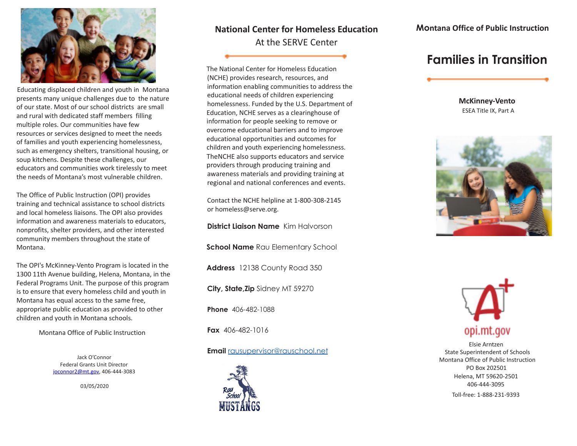

Educating displaced children and youth in Montana presents many unique challenges due to the nature of our state. Most of our school districts are small and rural with dedicated staff members filling multiple roles. Our communities have few resources or services designed to meet the needs of families and youth experiencing homelessness, such as emergency shelters, transitional housing, or soup kitchens. Despite these challenges, our educators and communities work tirelessly to meet the needs of Montana's most vulnerable children.

The Office of Public Instruction (OPI) provides training and technical assistance to school districts and local homeless liaisons. The OPI also provides information and awareness materials to educators, nonprofits, shelter providers, and other interested community members throughout the state of Montana.

The OPI's McKinney-Vento Program is located in the 1300 11th Avenue building, Helena, Montana, in the Federal Programs Unit. The purpose of this program is to ensure that every homeless child and youth in Montana has equal access to the same free, appropriate public education as provided to other children and youth in Montana schools.

Montana Office of Public Instruction

Jack O'Connor Federal Grants Unit Director joconnor2@mt.gov, 406-444-3083

03/05/2020

### **National Center for Homeless Education** At the SERVE Center

The National Center for Homeless Education (NCHE) provides research, resources, and information enabling communities to address the educational needs of children experiencing homelessness. Funded by the U.S. Department of Education, NCHE serves as a clearinghouse of information for people seeking to remove or overcome educational barriers and to improve educational opportunities and outcomes for children and youth experiencing homelessness. TheNCHE also supports educators and service providers through producing training and awareness materials and providing training at regional and national conferences and events.

Contact the NCHE helpline at 1-800-308-2145 or homeless@serve.org.

**District Liaison Name** Kim Halvorson

**School Name** Rau Elementary School

**Address** 12138 County Road 350

**City, State,Zip** Sidney MT 59270

**Phone** 406-482-1088

**Fax** 406-482-1016

**Email** [rausupervisor@rauschool.net](mailto:rausupervisor@rauschool.net)



## **Families in Transition**

**McKinney-Vento** ESEA Title IX, Part A





Elsie Arntzen State Superintendent of Schools Montana Office of Public Instruction PO Box 202501 Helena, MT 59620-2501 406-444-3095

Toll-free: 1-888-231-9393